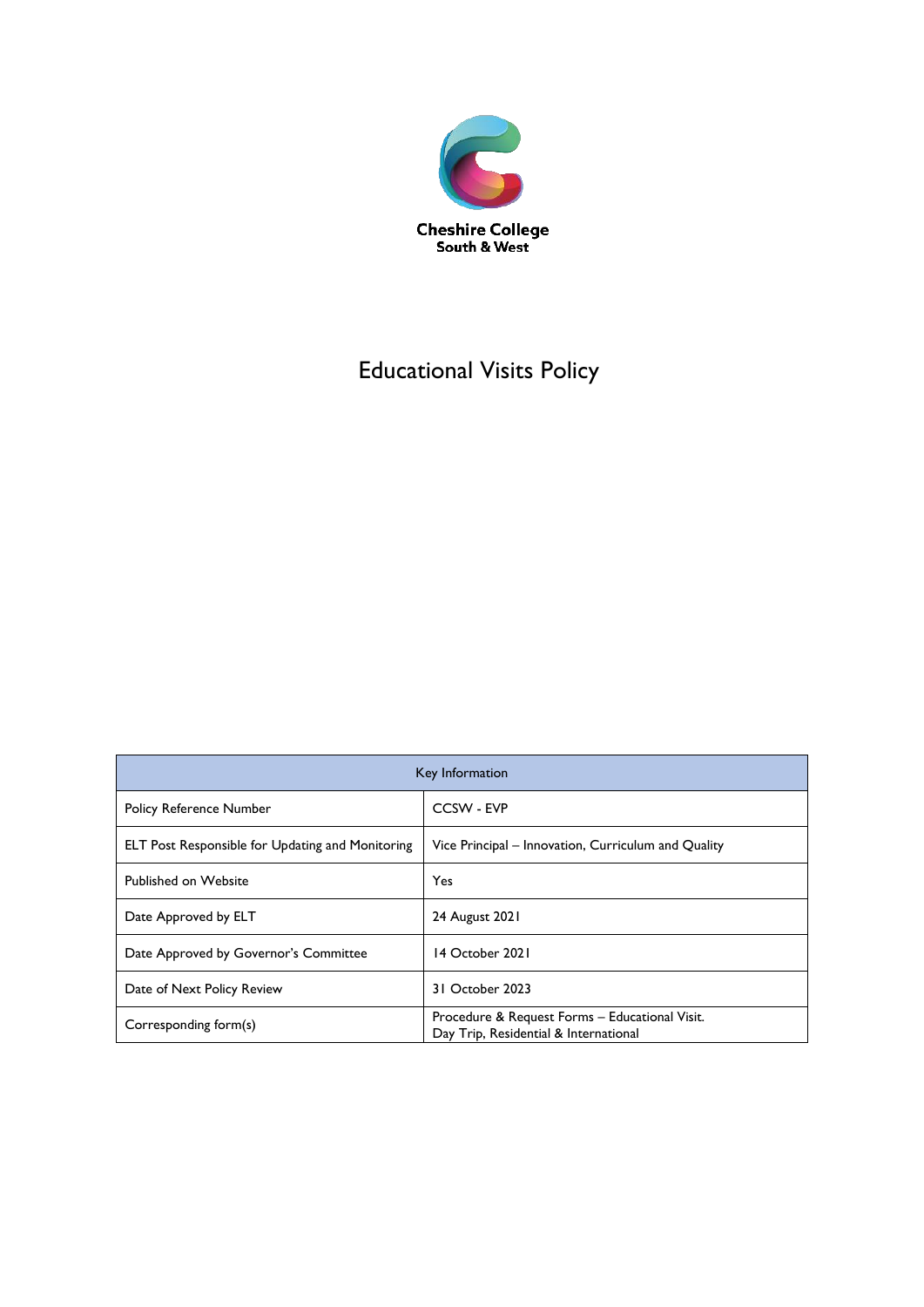

# Educational Visits Policy

| Key Information                                         |                                                                                         |  |
|---------------------------------------------------------|-----------------------------------------------------------------------------------------|--|
| <b>Policy Reference Number</b>                          | CCSW - EVP                                                                              |  |
| <b>ELT Post Responsible for Updating and Monitoring</b> | Vice Principal – Innovation, Curriculum and Quality                                     |  |
| <b>Published on Website</b>                             | Yes                                                                                     |  |
| Date Approved by ELT                                    | 24 August 2021                                                                          |  |
| Date Approved by Governor's Committee                   | 14 October 2021                                                                         |  |
| Date of Next Policy Review                              | 31 October 2023                                                                         |  |
| Corresponding form(s)                                   | Procedure & Request Forms - Educational Visit.<br>Day Trip, Residential & International |  |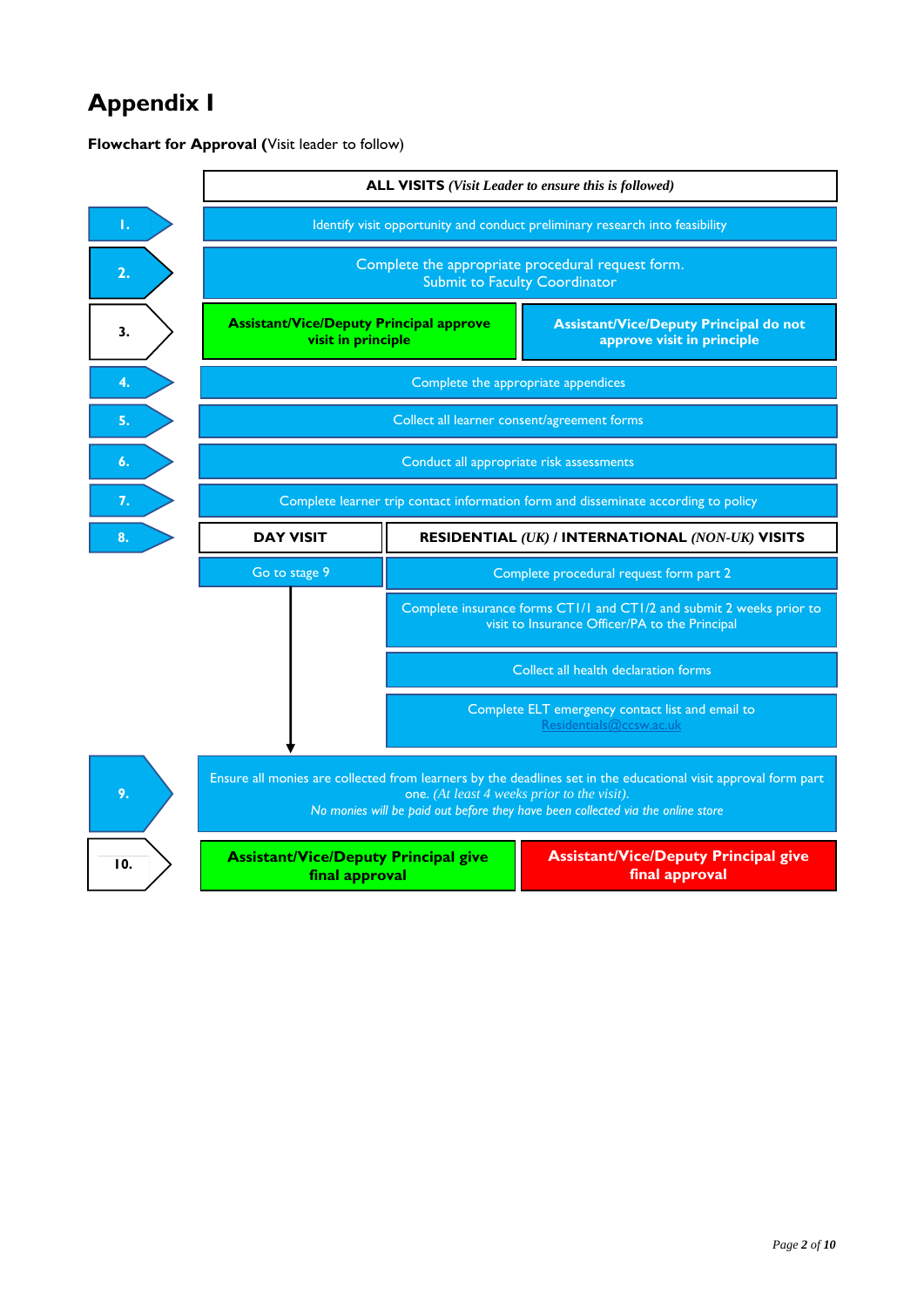# **Appendix I**

**Flowchart for Approval (**Visit leader to follow)

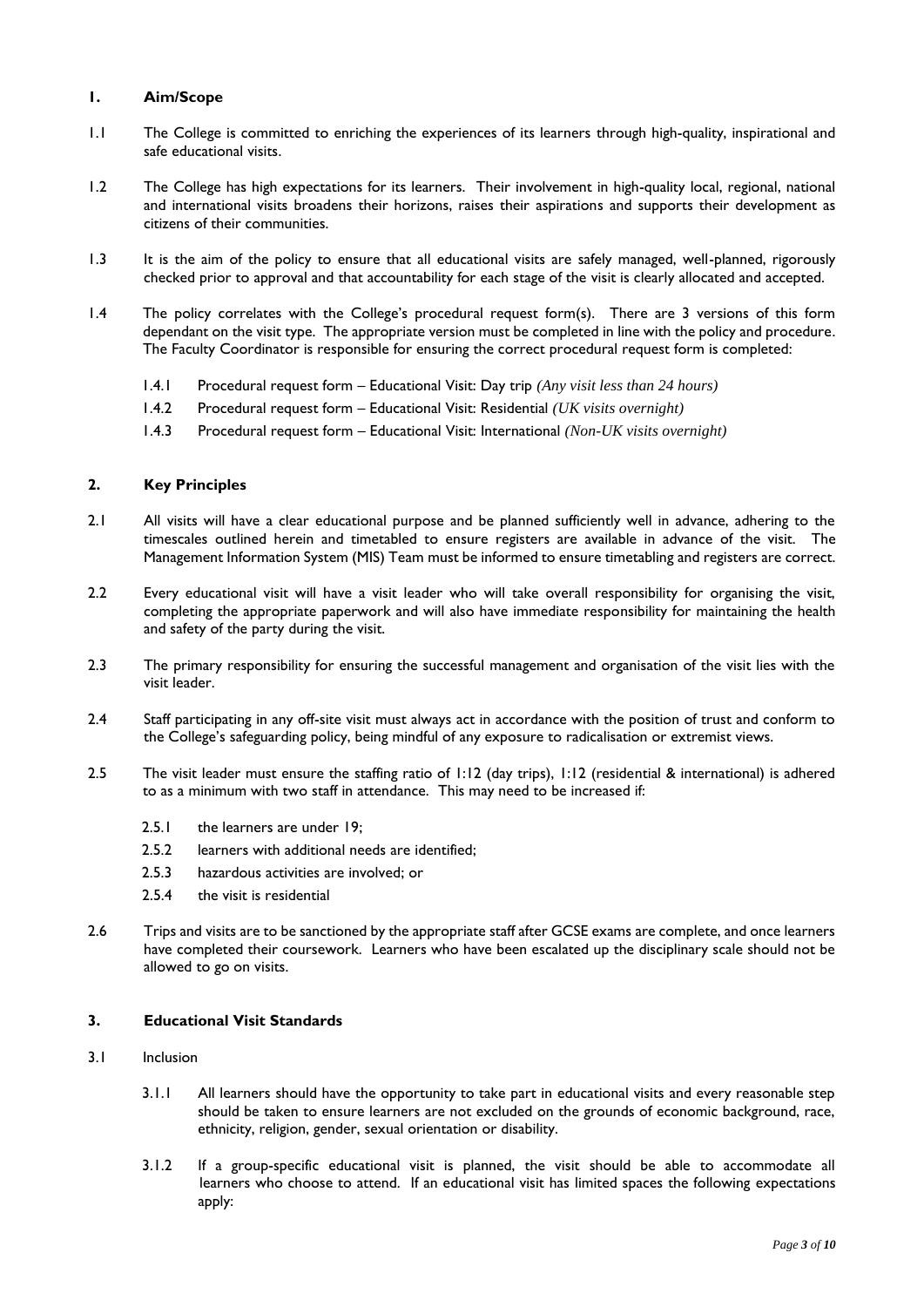## **1. Aim/Scope**

- 1.1 The College is committed to enriching the experiences of its learners through high-quality, inspirational and safe educational visits.
- 1.2 The College has high expectations for its learners. Their involvement in high-quality local, regional, national and international visits broadens their horizons, raises their aspirations and supports their development as citizens of their communities.
- 1.3 It is the aim of the policy to ensure that all educational visits are safely managed, well-planned, rigorously checked prior to approval and that accountability for each stage of the visit is clearly allocated and accepted.
- 1.4 The policy correlates with the College's procedural request form(s). There are 3 versions of this form dependant on the visit type. The appropriate version must be completed in line with the policy and procedure. The Faculty Coordinator is responsible for ensuring the correct procedural request form is completed:
	- 1.4.1 Procedural request form Educational Visit: Day trip *(Any visit less than 24 hours)*
	- 1.4.2 Procedural request form Educational Visit: Residential *(UK visits overnight)*
	- 1.4.3 Procedural request form Educational Visit: International *(Non-UK visits overnight)*

# **2. Key Principles**

- 2.1 All visits will have a clear educational purpose and be planned sufficiently well in advance, adhering to the timescales outlined herein and timetabled to ensure registers are available in advance of the visit. The Management Information System (MIS) Team must be informed to ensure timetabling and registers are correct.
- 2.2 Every educational visit will have a visit leader who will take overall responsibility for organising the visit, completing the appropriate paperwork and will also have immediate responsibility for maintaining the health and safety of the party during the visit.
- 2.3 The primary responsibility for ensuring the successful management and organisation of the visit lies with the visit leader.
- 2.4 Staff participating in any off-site visit must always act in accordance with the position of trust and conform to the College's safeguarding policy, being mindful of any exposure to radicalisation or extremist views.
- 2.5 The visit leader must ensure the staffing ratio of 1:12 (day trips), 1:12 (residential & international) is adhered to as a minimum with two staff in attendance. This may need to be increased if:
	- 2.5.1 the learners are under 19:
	- 2.5.2 learners with additional needs are identified;
	- 2.5.3 hazardous activities are involved; or
	- 2.5.4 the visit is residential
- 2.6 Trips and visits are to be sanctioned by the appropriate staff after GCSE exams are complete, and once learners have completed their coursework. Learners who have been escalated up the disciplinary scale should not be allowed to go on visits.

#### **3. Educational Visit Standards**

- 3.1 Inclusion
	- 3.1.1 All learners should have the opportunity to take part in educational visits and every reasonable step should be taken to ensure learners are not excluded on the grounds of economic background, race, ethnicity, religion, gender, sexual orientation or disability.
	- 3.1.2 If a group-specific educational visit is planned, the visit should be able to accommodate all learners who choose to attend. If an educational visit has limited spaces the following expectations apply: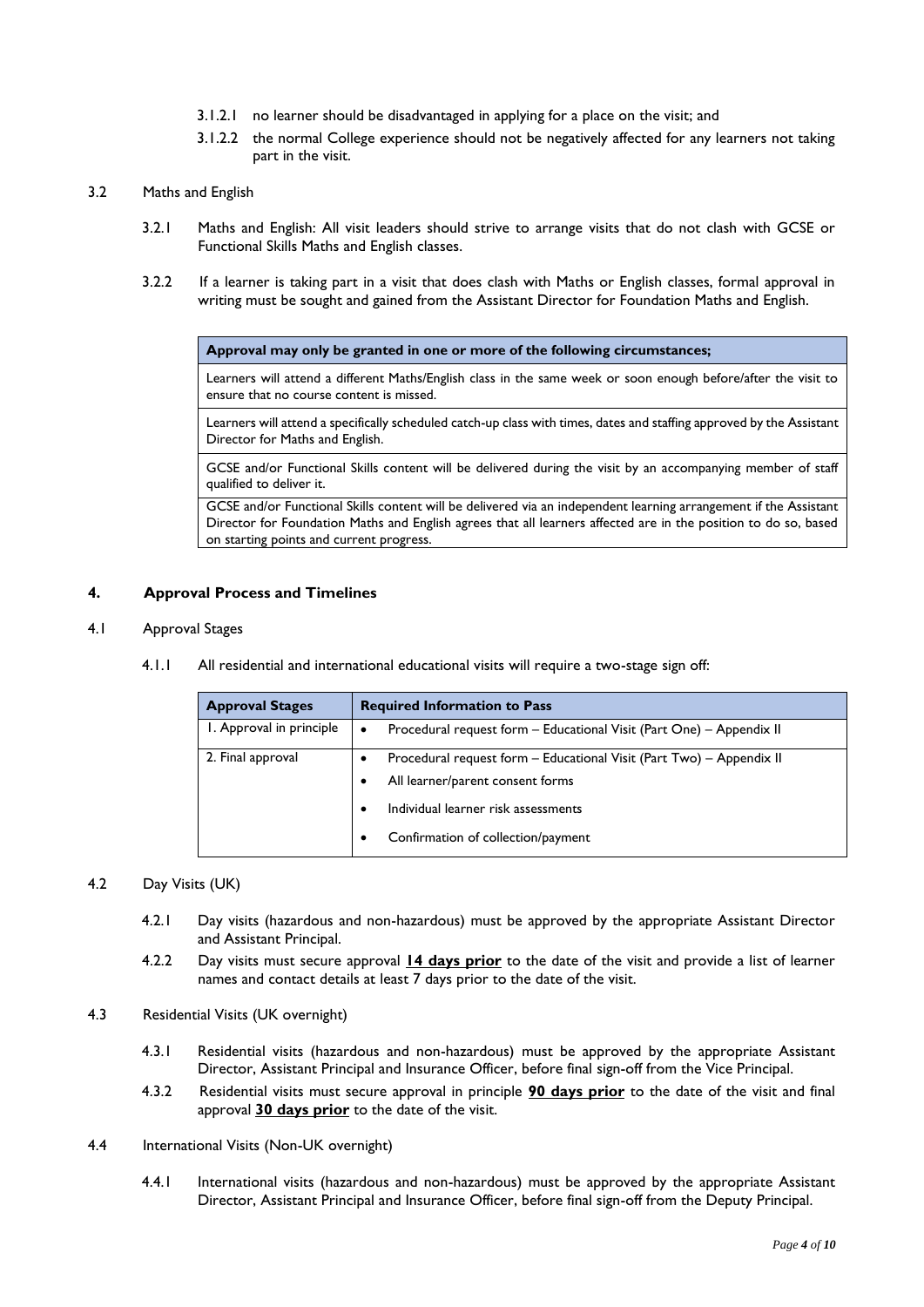- 3.1.2.1 no learner should be disadvantaged in applying for a place on the visit; and
- 3.1.2.2 the normal College experience should not be negatively affected for any learners not taking part in the visit.
- 3.2 Maths and English
	- 3.2.1 Maths and English: All visit leaders should strive to arrange visits that do not clash with GCSE or Functional Skills Maths and English classes.
	- 3.2.2 If a learner is taking part in a visit that does clash with Maths or English classes, formal approval in writing must be sought and gained from the Assistant Director for Foundation Maths and English.

**Approval may only be granted in one or more of the following circumstances;**

Learners will attend a different Maths/English class in the same week or soon enough before/after the visit to ensure that no course content is missed.

Learners will attend a specifically scheduled catch-up class with times, dates and staffing approved by the Assistant Director for Maths and English.

GCSE and/or Functional Skills content will be delivered during the visit by an accompanying member of staff qualified to deliver it.

GCSE and/or Functional Skills content will be delivered via an independent learning arrangement if the Assistant Director for Foundation Maths and English agrees that all learners affected are in the position to do so, based on starting points and current progress.

#### **4. Approval Process and Timelines**

#### 4.1 Approval Stages

4.1.1 All residential and international educational visits will require a two-stage sign off:

| <b>Approval Stages</b>   | <b>Required Information to Pass</b>                                       |
|--------------------------|---------------------------------------------------------------------------|
| I. Approval in principle | Procedural request form - Educational Visit (Part One) - Appendix II<br>٠ |
| 2. Final approval        | Procedural request form - Educational Visit (Part Two) - Appendix II      |
|                          | All learner/parent consent forms                                          |
|                          | Individual learner risk assessments                                       |
|                          | Confirmation of collection/payment                                        |

#### 4.2 Day Visits (UK)

- 4.2.1 Day visits (hazardous and non-hazardous) must be approved by the appropriate Assistant Director and Assistant Principal.
- 4.2.2 Day visits must secure approval **14 days prior** to the date of the visit and provide a list of learner names and contact details at least 7 days prior to the date of the visit.
- 4.3 Residential Visits (UK overnight)
	- 4.3.1 Residential visits (hazardous and non-hazardous) must be approved by the appropriate Assistant Director, Assistant Principal and Insurance Officer, before final sign-off from the Vice Principal.
	- 4.3.2 Residential visits must secure approval in principle **90 days prior** to the date of the visit and final approval **30 days prior** to the date of the visit.
- 4.4 International Visits (Non-UK overnight)
	- 4.4.1 International visits (hazardous and non-hazardous) must be approved by the appropriate Assistant Director, Assistant Principal and Insurance Officer, before final sign-off from the Deputy Principal.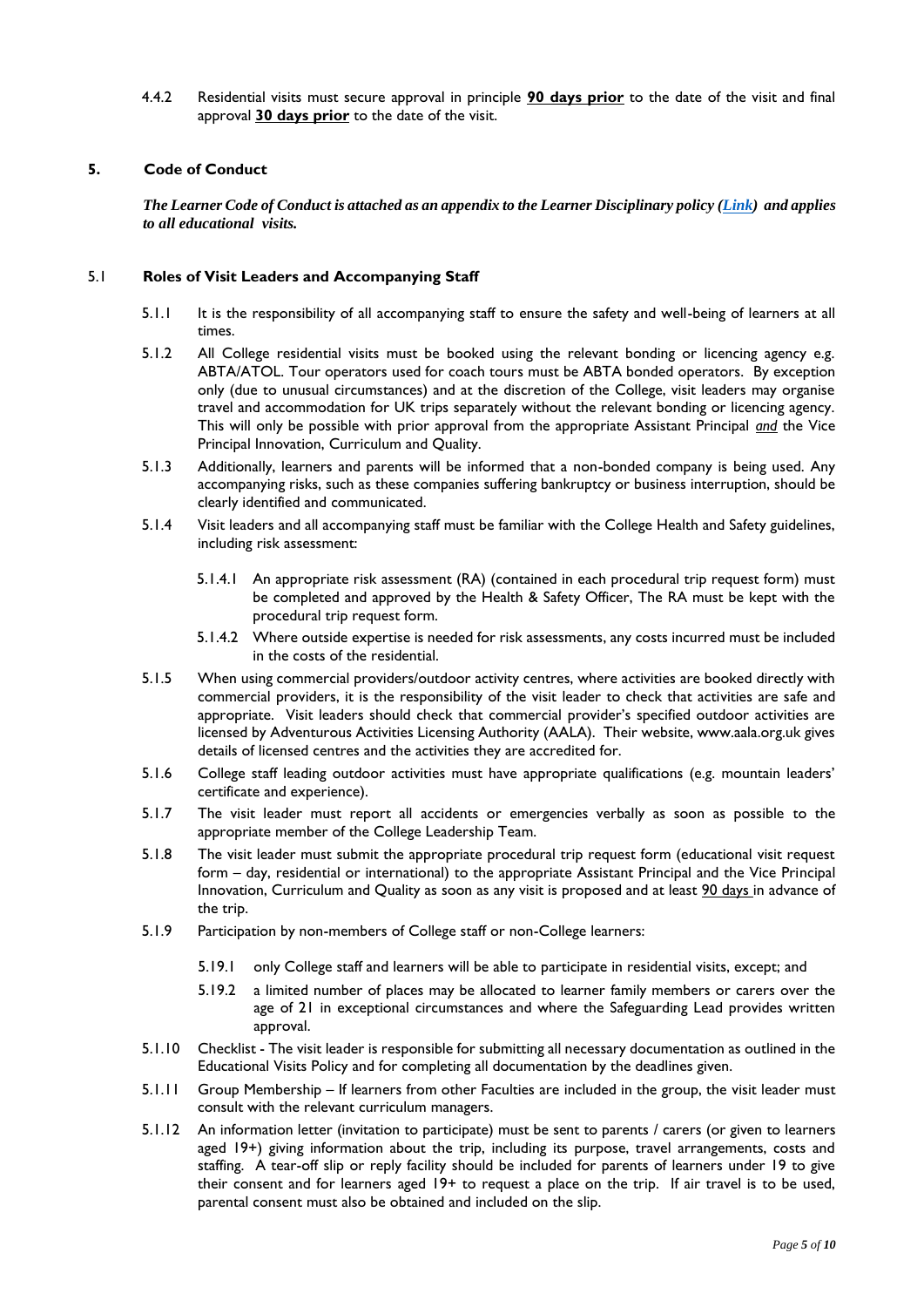4.4.2 Residential visits must secure approval in principle **90 days prior** to the date of the visit and final approval **30 days prior** to the date of the visit.

# **5. Code of Conduct**

*The Learner Code of Conduct is attached as an appendix to the Learner Disciplinary policy [\(Link\)](https://southcheshire.sharepoint.com/:b:/s/PoliciesandProcedures/EaDpJm84XLJPsDKTAnCInGoB37pSm9PPaUkBQ4MzOznVSA?e=4n3VBX) and applies to all educational visits.*

## 5.1 **Roles of Visit Leaders and Accompanying Staff**

- 5.1.1 It is the responsibility of all accompanying staff to ensure the safety and well-being of learners at all times.
- 5.1.2 All College residential visits must be booked using the relevant bonding or licencing agency e.g. ABTA/ATOL. Tour operators used for coach tours must be ABTA bonded operators. By exception only (due to unusual circumstances) and at the discretion of the College, visit leaders may organise travel and accommodation for UK trips separately without the relevant bonding or licencing agency. This will only be possible with prior approval from the appropriate Assistant Principal *and* the Vice Principal Innovation, Curriculum and Quality.
- 5.1.3 Additionally, learners and parents will be informed that a non-bonded company is being used. Any accompanying risks, such as these companies suffering bankruptcy or business interruption, should be clearly identified and communicated.
- 5.1.4 Visit leaders and all accompanying staff must be familiar with the College Health and Safety guidelines, including risk assessment:
	- 5.1.4.1 An appropriate risk assessment (RA) (contained in each procedural trip request form) must be completed and approved by the Health & Safety Officer, The RA must be kept with the procedural trip request form.
	- 5.1.4.2 Where outside expertise is needed for risk assessments, any costs incurred must be included in the costs of the residential.
- 5.1.5 When using commercial providers/outdoor activity centres, where activities are booked directly with commercial providers, it is the responsibility of the visit leader to check that activities are safe and appropriate. Visit leaders should check that commercial provider's specified outdoor activities are licensed by Adventurous Activities Licensing Authority (AALA). Their website, www.aala.org.uk gives details of licensed centres and the activities they are accredited for.
- 5.1.6 College staff leading outdoor activities must have appropriate qualifications (e.g. mountain leaders' certificate and experience).
- 5.1.7 The visit leader must report all accidents or emergencies verbally as soon as possible to the appropriate member of the College Leadership Team.
- 5.1.8 The visit leader must submit the appropriate procedural trip request form (educational visit request form – day, residential or international) to the appropriate Assistant Principal and the Vice Principal Innovation, Curriculum and Quality as soon as any visit is proposed and at least 90 days in advance of the trip.
- 5.1.9 Participation by non-members of College staff or non-College learners:
	- 5.19.1 only College staff and learners will be able to participate in residential visits, except; and
	- 5.19.2 a limited number of places may be allocated to learner family members or carers over the age of 21 in exceptional circumstances and where the Safeguarding Lead provides written approval.
- 5.1.10 Checklist The visit leader is responsible for submitting all necessary documentation as outlined in the Educational Visits Policy and for completing all documentation by the deadlines given.
- 5.1.11 Group Membership If learners from other Faculties are included in the group, the visit leader must consult with the relevant curriculum managers.
- 5.1.12 An information letter (invitation to participate) must be sent to parents / carers (or given to learners aged 19+) giving information about the trip, including its purpose, travel arrangements, costs and staffing. A tear-off slip or reply facility should be included for parents of learners under 19 to give their consent and for learners aged 19+ to request a place on the trip. If air travel is to be used, parental consent must also be obtained and included on the slip.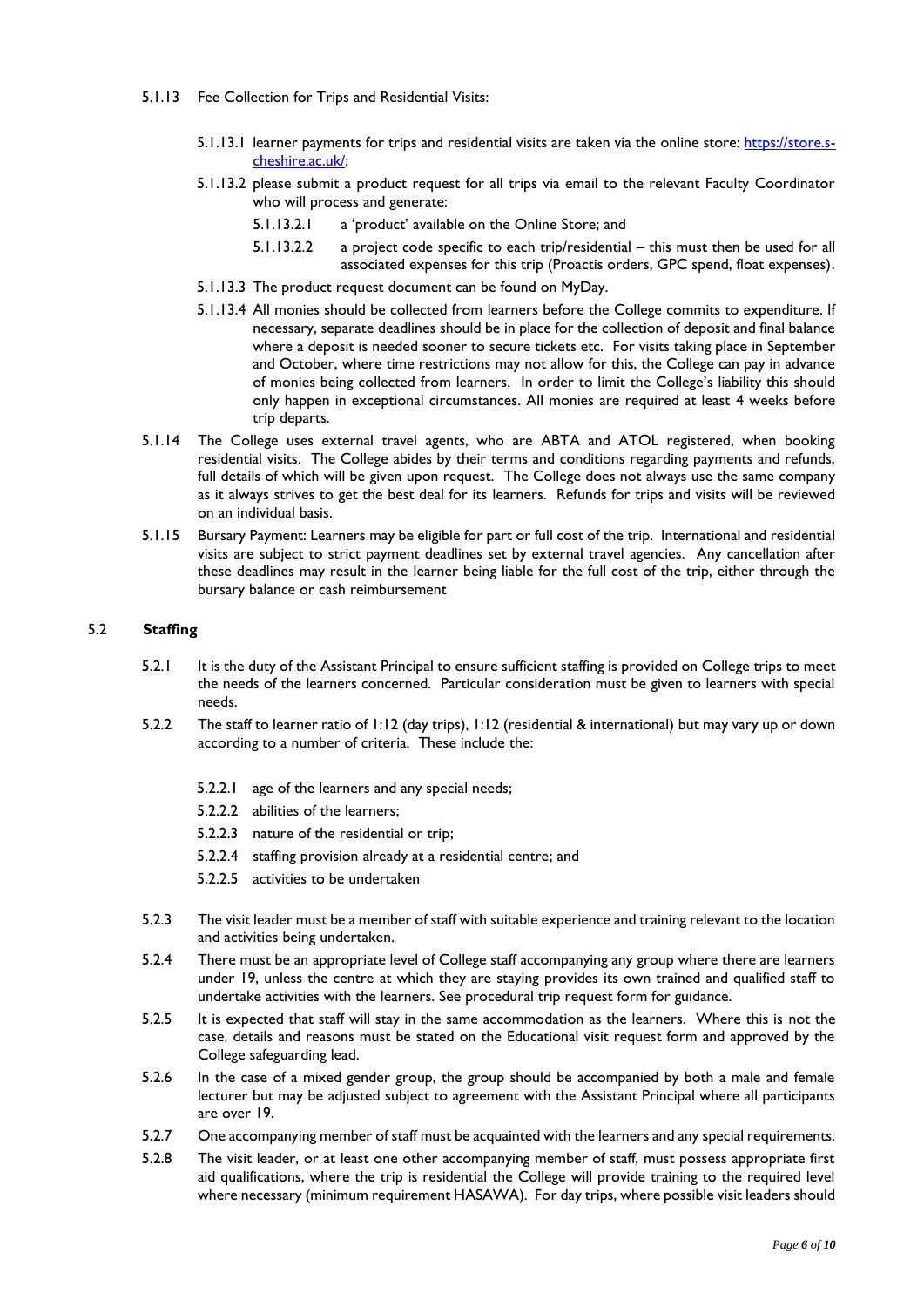- 5.1.13 Fee Collection for Trips and Residential Visits:
	- 5.1.13.1 learner payments for trips and residential visits are taken via the online store: [https://store.s](https://store.s-cheshire.ac.uk/)[cheshire.ac.uk/;](https://store.s-cheshire.ac.uk/)
	- 5.1.13.2 please submit a product request for all trips via email to the relevant Faculty Coordinator who will process and generate:
		- 5.1.13.2.1 a 'product' available on the Online Store; and
		- 5.1.13.2.2 a project code specific to each trip/residential this must then be used for all associated expenses for this trip (Proactis orders, GPC spend, float expenses).
	- 5.1.13.3 The product request document can be found on MyDay.
	- 5.1.13.4 All monies should be collected from learners before the College commits to expenditure. If necessary, separate deadlines should be in place for the collection of deposit and final balance where a deposit is needed sooner to secure tickets etc. For visits taking place in September and October, where time restrictions may not allow for this, the College can pay in advance of monies being collected from learners. In order to limit the College's liability this should only happen in exceptional circumstances. All monies are required at least 4 weeks before trip departs.
- 5.1.14 The College uses external travel agents, who are ABTA and ATOL registered, when booking residential visits. The College abides by their terms and conditions regarding payments and refunds, full details of which will be given upon request. The College does not always use the same company as it always strives to get the best deal for its learners. Refunds for trips and visits will be reviewed on an individual basis.
- 5.1.15 Bursary Payment: Learners may be eligible for part or full cost of the trip. International and residential visits are subject to strict payment deadlines set by external travel agencies. Any cancellation after these deadlines may result in the learner being liable for the full cost of the trip, either through the bursary balance or cash reimbursement

#### 5.2 **Staffing**

- 5.2.1 It is the duty of the Assistant Principal to ensure sufficient staffing is provided on College trips to meet the needs of the learners concerned. Particular consideration must be given to learners with special needs.
- 5.2.2 The staff to learner ratio of 1:12 (day trips), 1:12 (residential & international) but may vary up or down according to a number of criteria. These include the:
	- 5.2.2.1 age of the learners and any special needs;
	- 5.2.2.2 abilities of the learners;
	- 5.2.2.3 nature of the residential or trip;
	- 5.2.2.4 staffing provision already at a residential centre; and
	- 5.2.2.5 activities to be undertaken
- 5.2.3 The visit leader must be a member of staff with suitable experience and training relevant to the location and activities being undertaken.
- 5.2.4 There must be an appropriate level of College staff accompanying any group where there are learners under 19, unless the centre at which they are staying provides its own trained and qualified staff to undertake activities with the learners. See procedural trip request form for guidance.
- 5.2.5 It is expected that staff will stay in the same accommodation as the learners. Where this is not the case, details and reasons must be stated on the Educational visit request form and approved by the College safeguarding lead.
- 5.2.6 In the case of a mixed gender group, the group should be accompanied by both a male and female lecturer but may be adjusted subject to agreement with the Assistant Principal where all participants are over 19.
- 5.2.7 One accompanying member of staff must be acquainted with the learners and any special requirements.
- 5.2.8 The visit leader, or at least one other accompanying member of staff, must possess appropriate first aid qualifications, where the trip is residential the College will provide training to the required level where necessary (minimum requirement HASAWA). For day trips, where possible visit leaders should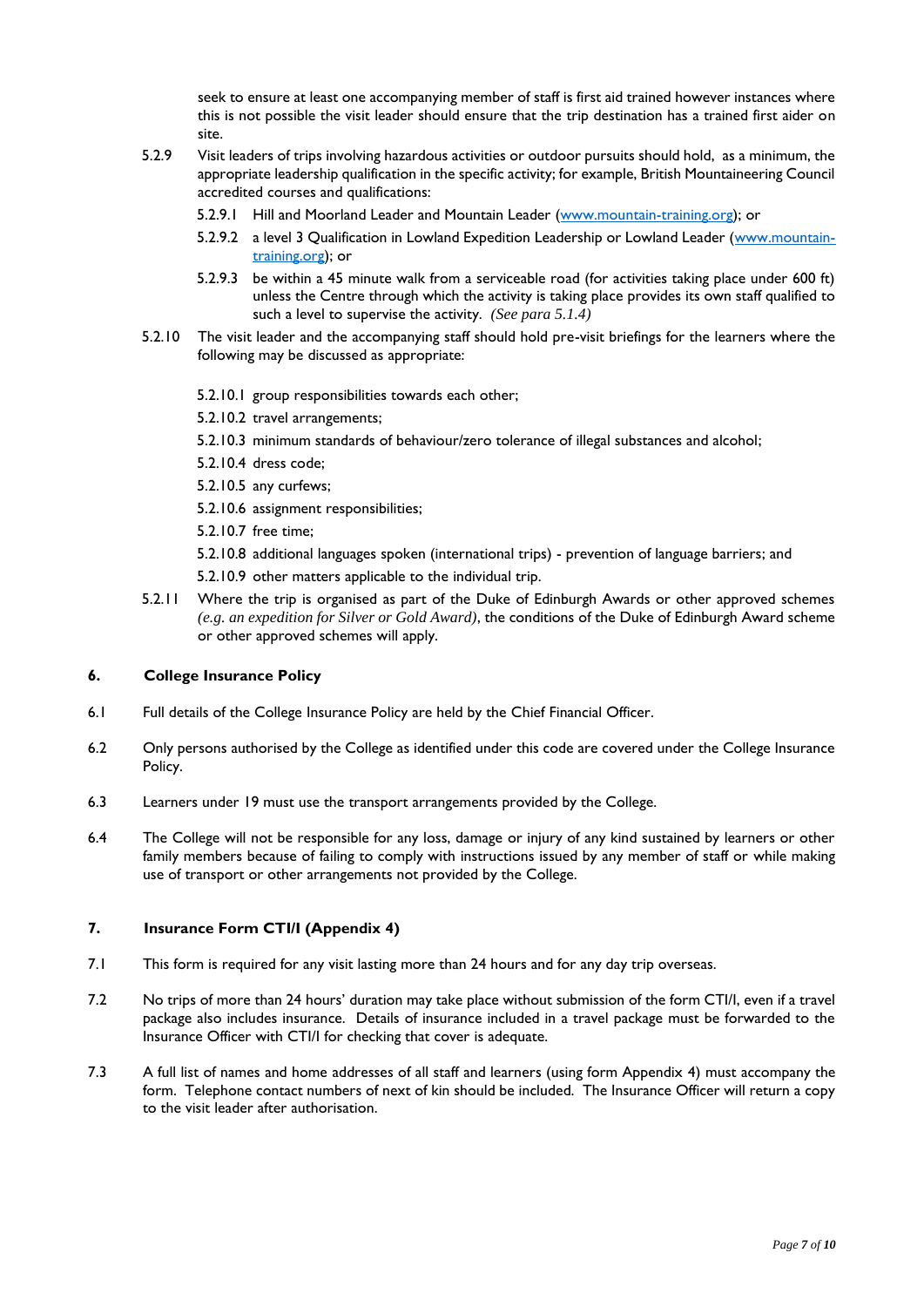seek to ensure at least one accompanying member of staff is first aid trained however instances where this is not possible the visit leader should ensure that the trip destination has a trained first aider on site.

- 5.2.9 Visit leaders of trips involving hazardous activities or outdoor pursuits should hold, as a minimum, the appropriate leadership qualification in the specific activity; for example, British Mountaineering Council accredited courses and qualifications:
	- 5.2.9.1 Hill and Moorland Leader and Mountain Leader [\(www.mountain-training.org\)](http://www.mountain-training.org/); or
	- 5.2.9.2 a level 3 Qualification in Lowland Expedition Leadership or Lowland Leader [\(www.mountain](http://www.mountain-training.org/)[training.org\)](http://www.mountain-training.org/); or
	- 5.2.9.3 be within a 45 minute walk from a serviceable road (for activities taking place under 600 ft) unless the Centre through which the activity is taking place provides its own staff qualified to such a level to supervise the activity. *(See para 5.1.4)*
- 5.2.10 The visit leader and the accompanying staff should hold pre-visit briefings for the learners where the following may be discussed as appropriate:
	- 5.2.10.1 group responsibilities towards each other;
	- 5.2.10.2 travel arrangements;
	- 5.2.10.3 minimum standards of behaviour/zero tolerance of illegal substances and alcohol;
	- 5.2.10.4 dress code;
	- 5.2.10.5 any curfews;
	- 5.2.10.6 assignment responsibilities;
	- 5.2.10.7 free time;

5.2.10.8 additional languages spoken (international trips) - prevention of language barriers; and

- 5.2.10.9 other matters applicable to the individual trip.
- 5.2.11 Where the trip is organised as part of the Duke of Edinburgh Awards or other approved schemes *(e.g. an expedition for Silver or Gold Award)*, the conditions of the Duke of Edinburgh Award scheme or other approved schemes will apply.

#### **6. College Insurance Policy**

- 6.1 Full details of the College Insurance Policy are held by the Chief Financial Officer.
- 6.2 Only persons authorised by the College as identified under this code are covered under the College Insurance Policy.
- 6.3 Learners under 19 must use the transport arrangements provided by the College.
- 6.4 The College will not be responsible for any loss, damage or injury of any kind sustained by learners or other family members because of failing to comply with instructions issued by any member of staff or while making use of transport or other arrangements not provided by the College.

#### **7. Insurance Form CTI/I (Appendix 4)**

- 7.1 This form is required for any visit lasting more than 24 hours and for any day trip overseas.
- 7.2 No trips of more than 24 hours' duration may take place without submission of the form CTI/I, even if a travel package also includes insurance. Details of insurance included in a travel package must be forwarded to the Insurance Officer with CTI/I for checking that cover is adequate.
- 7.3 A full list of names and home addresses of all staff and learners (using form Appendix 4) must accompany the form. Telephone contact numbers of next of kin should be included. The Insurance Officer will return a copy to the visit leader after authorisation.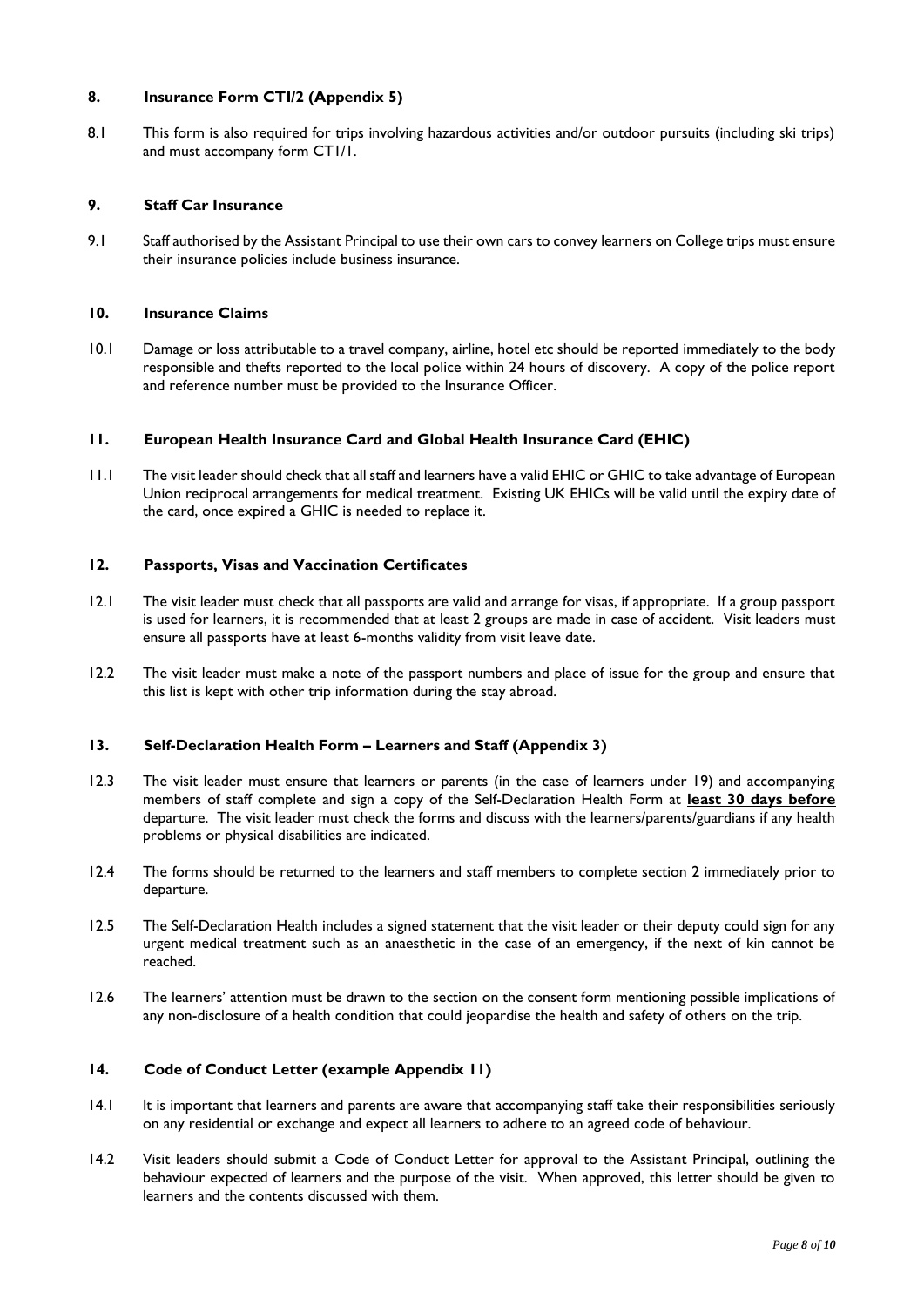## **8. Insurance Form CTI/2 (Appendix 5)**

8.1 This form is also required for trips involving hazardous activities and/or outdoor pursuits (including ski trips) and must accompany form CT1/1.

# **9. Staff Car Insurance**

9.1 Staff authorised by the Assistant Principal to use their own cars to convey learners on College trips must ensure their insurance policies include business insurance.

#### **10. Insurance Claims**

10.1 Damage or loss attributable to a travel company, airline, hotel etc should be reported immediately to the body responsible and thefts reported to the local police within 24 hours of discovery. A copy of the police report and reference number must be provided to the Insurance Officer.

#### **11. European Health Insurance Card and Global Health Insurance Card (EHIC)**

11.1 The visit leader should check that all staff and learners have a valid EHIC or GHIC to take advantage of European Union reciprocal arrangements for medical treatment. Existing UK EHICs will be valid until the expiry date of the card, once expired a GHIC is needed to replace it.

#### **12. Passports, Visas and Vaccination Certificates**

- 12.1 The visit leader must check that all passports are valid and arrange for visas, if appropriate. If a group passport is used for learners, it is recommended that at least 2 groups are made in case of accident. Visit leaders must ensure all passports have at least 6-months validity from visit leave date.
- 12.2 The visit leader must make a note of the passport numbers and place of issue for the group and ensure that this list is kept with other trip information during the stay abroad.

#### **13. Self-Declaration Health Form – Learners and Staff (Appendix 3)**

- 12.3 The visit leader must ensure that learners or parents (in the case of learners under 19) and accompanying members of staff complete and sign a copy of the Self-Declaration Health Form at **least 30 days before** departure. The visit leader must check the forms and discuss with the learners/parents/guardians if any health problems or physical disabilities are indicated.
- 12.4 The forms should be returned to the learners and staff members to complete section 2 immediately prior to departure.
- 12.5 The Self-Declaration Health includes a signed statement that the visit leader or their deputy could sign for any urgent medical treatment such as an anaesthetic in the case of an emergency, if the next of kin cannot be reached.
- 12.6 The learners' attention must be drawn to the section on the consent form mentioning possible implications of any non-disclosure of a health condition that could jeopardise the health and safety of others on the trip.

#### **14. Code of Conduct Letter (example Appendix 11)**

- 14.1 It is important that learners and parents are aware that accompanying staff take their responsibilities seriously on any residential or exchange and expect all learners to adhere to an agreed code of behaviour.
- 14.2 Visit leaders should submit a Code of Conduct Letter for approval to the Assistant Principal, outlining the behaviour expected of learners and the purpose of the visit. When approved, this letter should be given to learners and the contents discussed with them.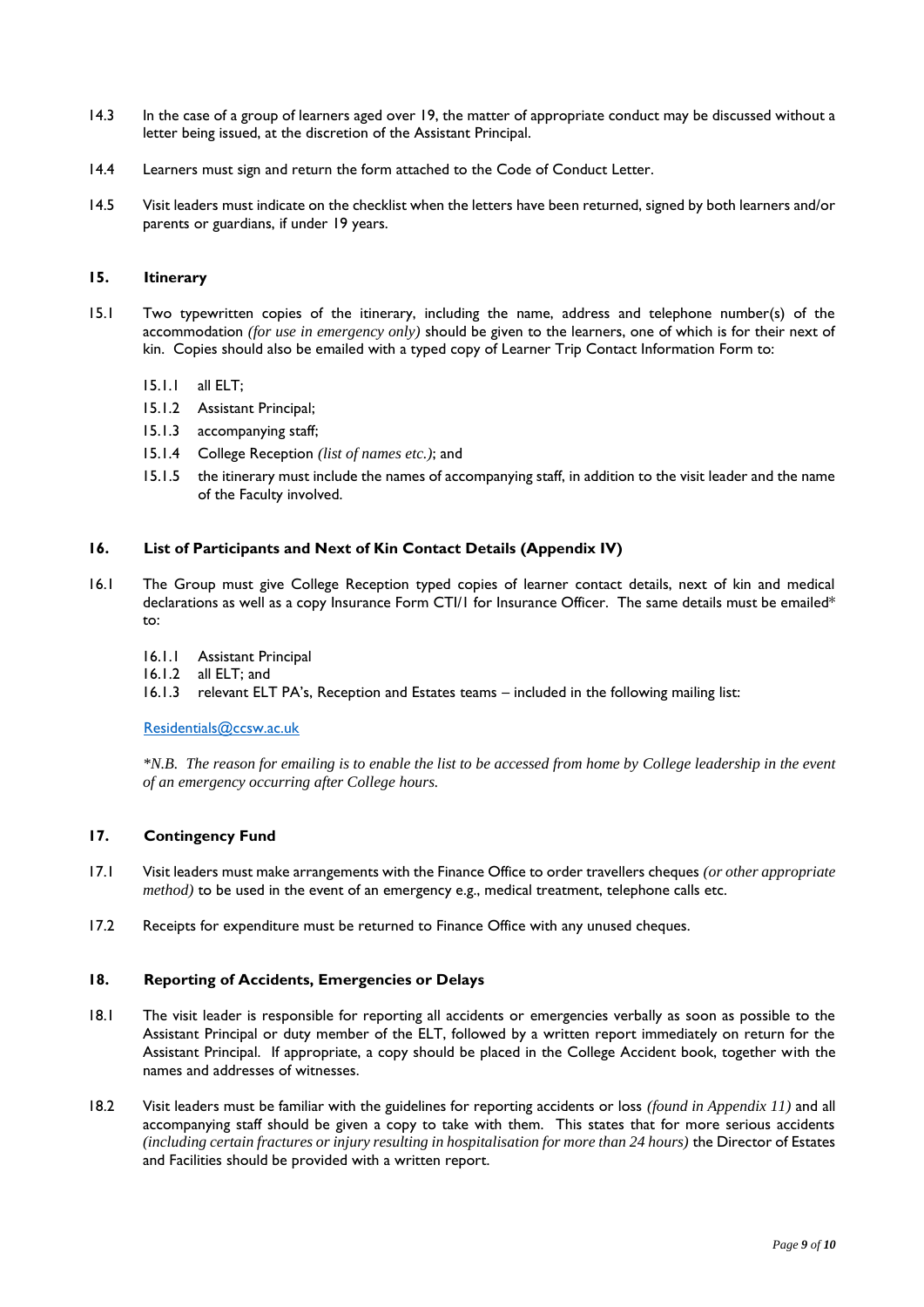- 14.3 In the case of a group of learners aged over 19, the matter of appropriate conduct may be discussed without a letter being issued, at the discretion of the Assistant Principal.
- 14.4 Learners must sign and return the form attached to the Code of Conduct Letter.
- 14.5 Visit leaders must indicate on the checklist when the letters have been returned, signed by both learners and/or parents or guardians, if under 19 years.

#### **15. Itinerary**

- 15.1 Two typewritten copies of the itinerary, including the name, address and telephone number(s) of the accommodation *(for use in emergency only)* should be given to the learners, one of which is for their next of kin. Copies should also be emailed with a typed copy of Learner Trip Contact Information Form to:
	- 15.1.1 all ELT;
	- 15.1.2 Assistant Principal;
	- 15.1.3 accompanying staff;
	- 15.1.4 College Reception *(list of names etc.)*; and
	- 15.1.5 the itinerary must include the names of accompanying staff, in addition to the visit leader and the name of the Faculty involved.

#### **16. List of Participants and Next of Kin Contact Details (Appendix IV)**

- 16.1 The Group must give College Reception typed copies of learner contact details, next of kin and medical declarations as well as a copy Insurance Form CTI/1 for Insurance Officer. The same details must be emailed\* to:
	- 16.1.1 Assistant Principal
	- 16.1.2 all ELT; and
	- 16.1.3 relevant ELT PA's, Reception and Estates teams included in the following mailing list:

[Residentials@ccsw.ac.uk](mailto:Residentials@ccsw.ac.uk)

*\*N.B. The reason for emailing is to enable the list to be accessed from home by College leadership in the event of an emergency occurring after College hours.*

#### **17. Contingency Fund**

- 17.1 Visit leaders must make arrangements with the Finance Office to order travellers cheques *(or other appropriate method)* to be used in the event of an emergency e.g., medical treatment, telephone calls etc.
- 17.2 Receipts for expenditure must be returned to Finance Office with any unused cheques.

#### **18. Reporting of Accidents, Emergencies or Delays**

- 18.1 The visit leader is responsible for reporting all accidents or emergencies verbally as soon as possible to the Assistant Principal or duty member of the ELT, followed by a written report immediately on return for the Assistant Principal. If appropriate, a copy should be placed in the College Accident book, together with the names and addresses of witnesses.
- 18.2 Visit leaders must be familiar with the guidelines for reporting accidents or loss *(found in Appendix 11)* and all accompanying staff should be given a copy to take with them. This states that for more serious accidents *(including certain fractures or injury resulting in hospitalisation for more than 24 hours)* the Director of Estates and Facilities should be provided with a written report.